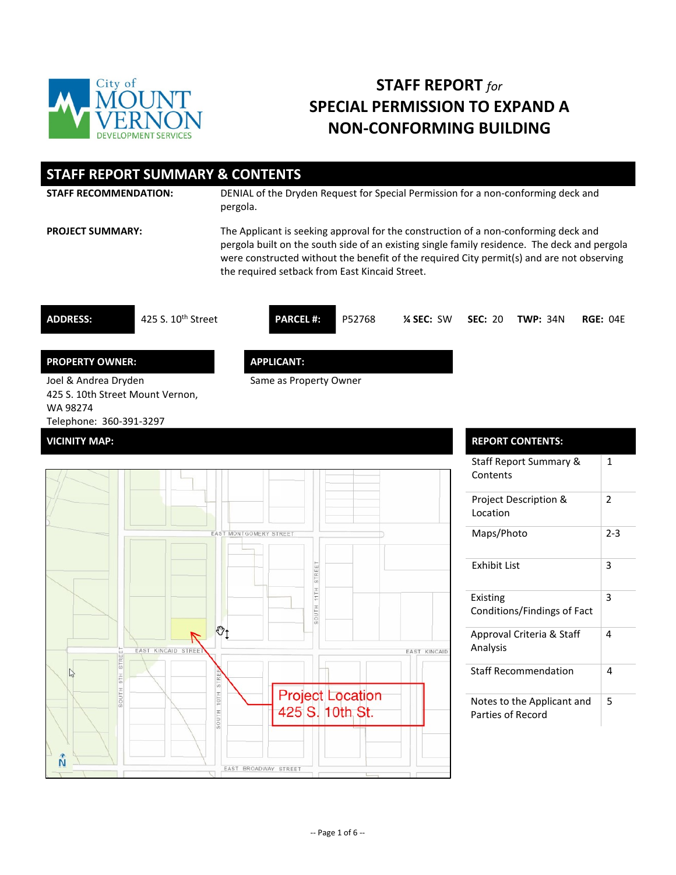

# **STAFF REPORT** *for* **SPECIAL PERMISSION TO EXPAND A NON-CONFORMING BUILDING**

| <b>STAFF REPORT SUMMARY &amp; CONTENTS</b>                                                      |                                                                                                                                                                                                                                                                                                                                    |        |             |         |                         |          |
|-------------------------------------------------------------------------------------------------|------------------------------------------------------------------------------------------------------------------------------------------------------------------------------------------------------------------------------------------------------------------------------------------------------------------------------------|--------|-------------|---------|-------------------------|----------|
| <b>STAFF RECOMMENDATION:</b>                                                                    | DENIAL of the Dryden Request for Special Permission for a non-conforming deck and<br>pergola.                                                                                                                                                                                                                                      |        |             |         |                         |          |
| <b>PROJECT SUMMARY:</b>                                                                         | The Applicant is seeking approval for the construction of a non-conforming deck and<br>pergola built on the south side of an existing single family residence. The deck and pergola<br>were constructed without the benefit of the required City permit(s) and are not observing<br>the required setback from East Kincaid Street. |        |             |         |                         |          |
| 425 S. $10^{th}$ Street<br><b>ADDRESS:</b>                                                      | <b>PARCEL #:</b>                                                                                                                                                                                                                                                                                                                   | P52768 | $%$ SEC: SW | SEC: 20 | <b>TWP: 34N</b>         | RGE: 04F |
| <b>PROPERTY OWNER:</b>                                                                          | <b>APPLICANT:</b>                                                                                                                                                                                                                                                                                                                  |        |             |         |                         |          |
| Joel & Andrea Dryden<br>425 S. 10th Street Mount Vernon,<br>WA 98274<br>Telephone: 360-391-3297 | Same as Property Owner                                                                                                                                                                                                                                                                                                             |        |             |         |                         |          |
| <b>VICINITY MAP:</b>                                                                            |                                                                                                                                                                                                                                                                                                                                    |        |             |         | <b>REPORT CONTENTS:</b> |          |



| <b>REPORT CONTENTS:</b>                         |         |
|-------------------------------------------------|---------|
| Staff Report Summary &<br>Contents              | 1       |
| Project Description &<br>Location               | 2       |
| Maps/Photo                                      | $2 - 3$ |
| Exhibit List                                    | 3       |
| Existing<br>Conditions/Findings of Fact         | 3       |
| Approval Criteria & Staff<br>Analysis           | 4       |
| <b>Staff Recommendation</b>                     | 4       |
| Notes to the Applicant and<br>Parties of Record | 5       |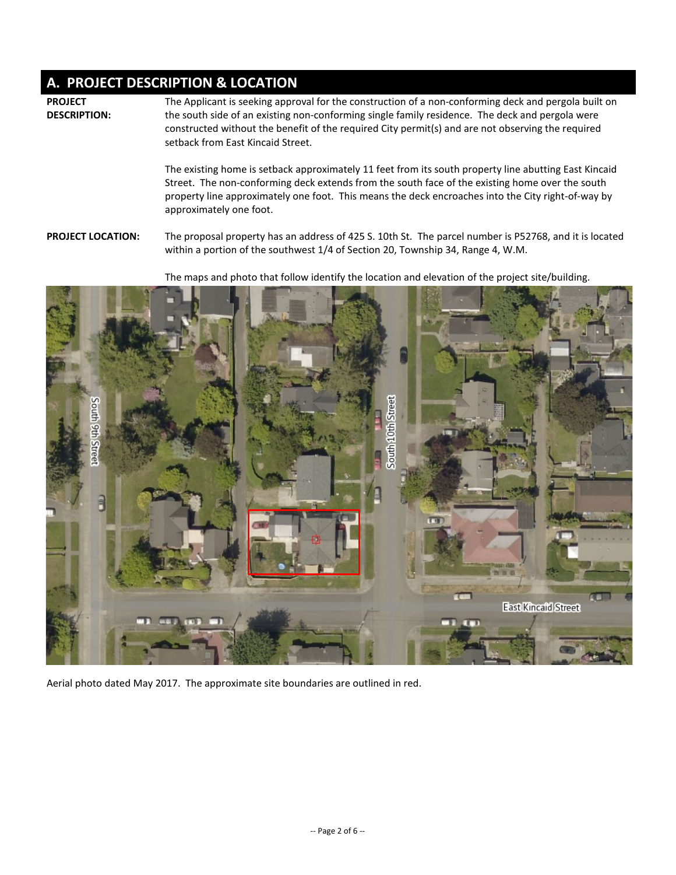## **A. PROJECT DESCRIPTION & LOCATION**

**PROJECT DESCRIPTION:** The Applicant is seeking approval for the construction of a non-conforming deck and pergola built on the south side of an existing non-conforming single family residence. The deck and pergola were constructed without the benefit of the required City permit(s) and are not observing the required setback from East Kincaid Street.

The existing home is setback approximately 11 feet from its south property line abutting East Kincaid Street. The non-conforming deck extends from the south face of the existing home over the south property line approximately one foot. This means the deck encroaches into the City right-of-way by approximately one foot.

**PROJECT LOCATION:** The proposal property has an address of 425 S. 10th St. The parcel number is P52768, and it is located within a portion of the southwest 1/4 of Section 20, Township 34, Range 4, W.M.

The maps and photo that follow identify the location and elevation of the project site/building.



Aerial photo dated May 2017. The approximate site boundaries are outlined in red.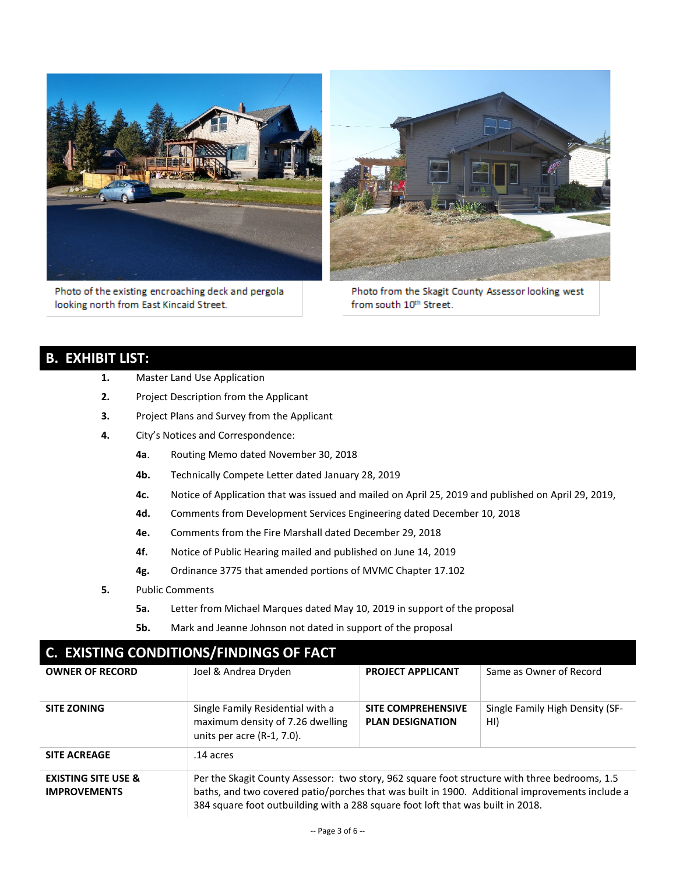

Photo of the existing encroaching deck and pergola looking north from East Kincaid Street.



Photo from the Skagit County Assessor looking west from south 10th Street.

## **B. EXHIBIT LIST:**

- **1.** Master Land Use Application
- **2.** Project Description from the Applicant
- **3.** Project Plans and Survey from the Applicant
- **4.** City's Notices and Correspondence:
	- **4a**. Routing Memo dated November 30, 2018
	- **4b.** Technically Compete Letter dated January 28, 2019
	- **4c.** Notice of Application that was issued and mailed on April 25, 2019 and published on April 29, 2019,
	- **4d.** Comments from Development Services Engineering dated December 10, 2018
	- **4e.** Comments from the Fire Marshall dated December 29, 2018
	- **4f.** Notice of Public Hearing mailed and published on June 14, 2019
	- **4g.** Ordinance 3775 that amended portions of MVMC Chapter 17.102
- **5.** Public Comments
	- **5a.** Letter from Michael Marques dated May 10, 2019 in support of the proposal
	- **5b.** Mark and Jeanne Johnson not dated in support of the proposal

| <b>C. EXISTING CONDITIONS/FINDINGS OF FACT</b>        |                                                                                                                                                                                                                                                                                    |                                                      |                                        |  |  |  |
|-------------------------------------------------------|------------------------------------------------------------------------------------------------------------------------------------------------------------------------------------------------------------------------------------------------------------------------------------|------------------------------------------------------|----------------------------------------|--|--|--|
| <b>OWNER OF RECORD</b>                                | Joel & Andrea Dryden                                                                                                                                                                                                                                                               | <b>PROJECT APPLICANT</b>                             | Same as Owner of Record                |  |  |  |
| <b>SITE ZONING</b>                                    | Single Family Residential with a<br>maximum density of 7.26 dwelling<br>units per acre (R-1, 7.0).                                                                                                                                                                                 | <b>SITE COMPREHENSIVE</b><br><b>PLAN DESIGNATION</b> | Single Family High Density (SF-<br>HI) |  |  |  |
| <b>SITE ACREAGE</b>                                   | .14 acres                                                                                                                                                                                                                                                                          |                                                      |                                        |  |  |  |
| <b>EXISTING SITE USE &amp;</b><br><b>IMPROVEMENTS</b> | Per the Skagit County Assessor: two story, 962 square foot structure with three bedrooms, 1.5<br>baths, and two covered patio/porches that was built in 1900. Additional improvements include a<br>384 square foot outbuilding with a 288 square foot loft that was built in 2018. |                                                      |                                        |  |  |  |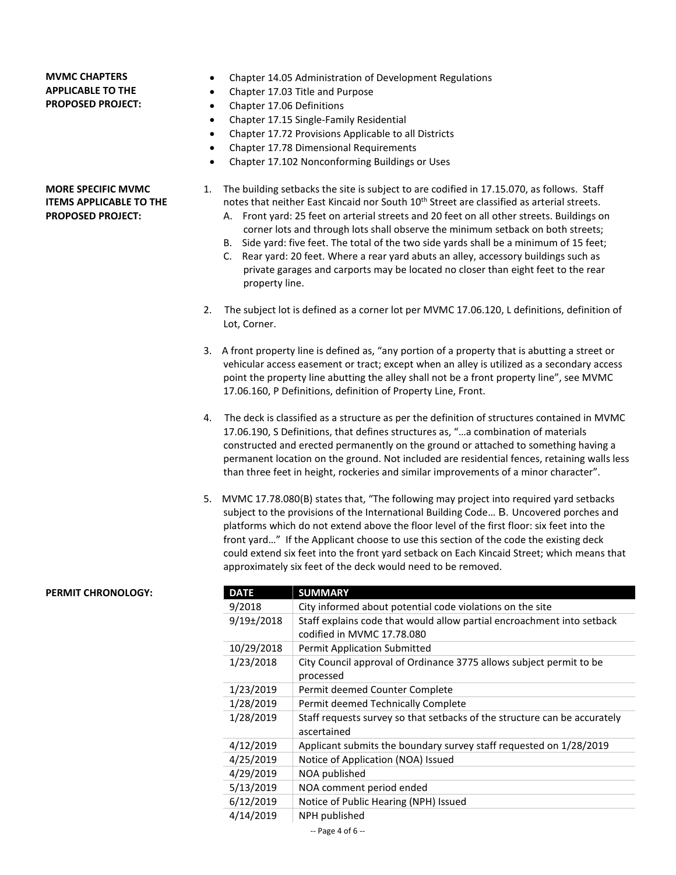### **MVMC CHAPTERS APPLICABLE TO THE PROPOSED PROJECT:**

**MORE SPECIFIC MVMC ITEMS APPLICABLE TO THE PROPOSED PROJECT:**

- Chapter 14.05 Administration of Development Regulations
- Chapter 17.03 Title and Purpose
- Chapter 17.06 Definitions
- Chapter 17.15 Single-Family Residential
- Chapter 17.72 Provisions Applicable to all Districts
- Chapter 17.78 Dimensional Requirements
- Chapter 17.102 Nonconforming Buildings or Uses
- 1. The building setbacks the site is subject to are codified in 17.15.070, as follows. Staff notes that neither East Kincaid nor South 10<sup>th</sup> Street are classified as arterial streets.
	- A. Front yard: 25 feet on arterial streets and 20 feet on all other streets. Buildings on corner lots and through lots shall observe the minimum setback on both streets;
	- B. Side yard: five feet. The total of the two side yards shall be a minimum of 15 feet;
	- C. Rear yard: 20 feet. Where a rear yard abuts an alley, accessory buildings such as private garages and carports may be located no closer than eight feet to the rear property line.
- 2. The subject lot is defined as a corner lot per MVMC 17.06.120, L definitions, definition of Lot, Corner.
- 3. A front property line is defined as, "any portion of a property that is abutting a street or vehicular access easement or tract; except when an alley is utilized as a secondary access point the property line abutting the alley shall not be a front property line", see MVMC 17.06.160, P Definitions, definition of Property Line, Front.
- 4. The deck is classified as a structure as per the definition of structures contained in MVMC 17.06.190, S Definitions, that defines structures as, "…a combination of materials constructed and erected permanently on the ground or attached to something having a permanent location on the ground. Not included are residential fences, retaining walls less than three feet in height, rockeries and similar improvements of a minor character".
- 5. MVMC 17.78.080(B) states that, "The following may project into required yard setbacks subject to the provisions of the International Building Code… B. Uncovered porches and platforms which do not extend above the floor level of the first floor: six feet into the front yard…" If the Applicant choose to use this section of the code the existing deck could extend six feet into the front yard setback on Each Kincaid Street; which means that approximately six feet of the deck would need to be removed.

#### **PERMIT CHRONOLOGY:**

| DATE            | <b>SUMMARY</b>                                                            |
|-----------------|---------------------------------------------------------------------------|
| 9/2018          | City informed about potential code violations on the site                 |
| $9/19 \pm 2018$ | Staff explains code that would allow partial encroachment into setback    |
|                 | codified in MVMC 17.78.080                                                |
| 10/29/2018      | <b>Permit Application Submitted</b>                                       |
| 1/23/2018       | City Council approval of Ordinance 3775 allows subject permit to be       |
|                 | processed                                                                 |
| 1/23/2019       | Permit deemed Counter Complete                                            |
| 1/28/2019       | Permit deemed Technically Complete                                        |
| 1/28/2019       | Staff requests survey so that setbacks of the structure can be accurately |
|                 | ascertained                                                               |
| 4/12/2019       | Applicant submits the boundary survey staff requested on 1/28/2019        |
| 4/25/2019       | Notice of Application (NOA) Issued                                        |
| 4/29/2019       | NOA published                                                             |
| 5/13/2019       | NOA comment period ended                                                  |
| 6/12/2019       | Notice of Public Hearing (NPH) Issued                                     |
| 4/14/2019       | NPH published                                                             |
|                 | $-$ Page 4 of 6 $-$                                                       |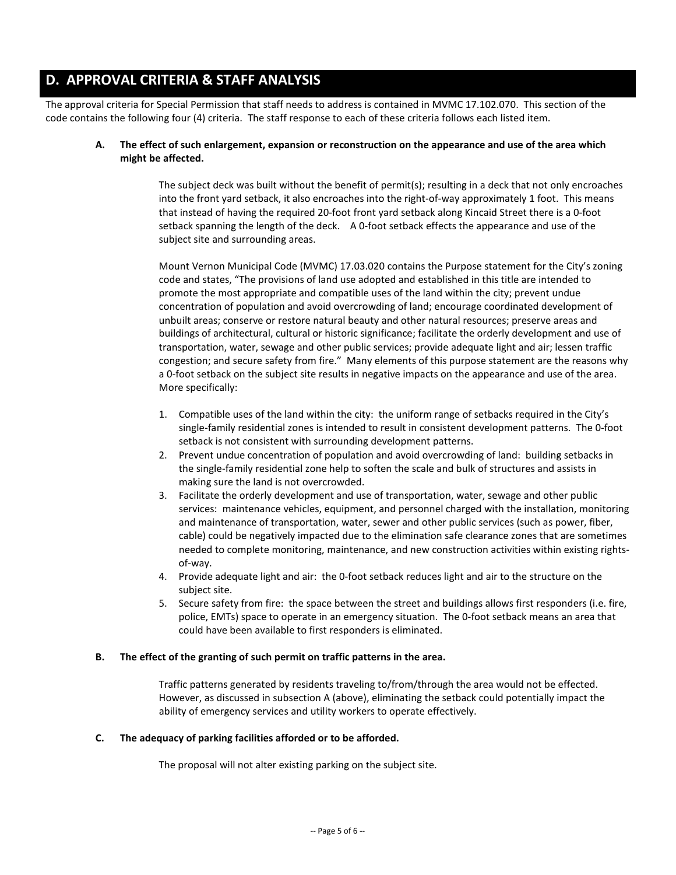## **D. APPROVAL CRITERIA & STAFF ANALYSIS**

The approval criteria for Special Permission that staff needs to address is contained in MVMC 17.102.070. This section of the code contains the following four (4) criteria. The staff response to each of these criteria follows each listed item.

#### **A. The effect of such enlargement, expansion or reconstruction on the appearance and use of the area which might be affected.**

The subject deck was built without the benefit of permit(s); resulting in a deck that not only encroaches into the front yard setback, it also encroaches into the right-of-way approximately 1 foot. This means that instead of having the required 20-foot front yard setback along Kincaid Street there is a 0-foot setback spanning the length of the deck. A 0-foot setback effects the appearance and use of the subject site and surrounding areas.

Mount Vernon Municipal Code (MVMC) 17.03.020 contains the Purpose statement for the City's zoning code and states, "The provisions of land use adopted and established in this title are intended to promote the most appropriate and compatible uses of the land within the city; prevent undue concentration of population and avoid overcrowding of land; encourage coordinated development of unbuilt areas; conserve or restore natural beauty and other natural resources; preserve areas and buildings of architectural, cultural or historic significance; facilitate the orderly development and use of transportation, water, sewage and other public services; provide adequate light and air; lessen traffic congestion; and secure safety from fire." Many elements of this purpose statement are the reasons why a 0-foot setback on the subject site results in negative impacts on the appearance and use of the area. More specifically:

- 1. Compatible uses of the land within the city: the uniform range of setbacks required in the City's single-family residential zones is intended to result in consistent development patterns. The 0-foot setback is not consistent with surrounding development patterns.
- 2. Prevent undue concentration of population and avoid overcrowding of land: building setbacks in the single-family residential zone help to soften the scale and bulk of structures and assists in making sure the land is not overcrowded.
- 3. Facilitate the orderly development and use of transportation, water, sewage and other public services: maintenance vehicles, equipment, and personnel charged with the installation, monitoring and maintenance of transportation, water, sewer and other public services (such as power, fiber, cable) could be negatively impacted due to the elimination safe clearance zones that are sometimes needed to complete monitoring, maintenance, and new construction activities within existing rightsof-way.
- 4. Provide adequate light and air: the 0-foot setback reduces light and air to the structure on the subject site.
- 5. Secure safety from fire: the space between the street and buildings allows first responders (i.e. fire, police, EMTs) space to operate in an emergency situation. The 0-foot setback means an area that could have been available to first responders is eliminated.

#### **B. The effect of the granting of such permit on traffic patterns in the area.**

Traffic patterns generated by residents traveling to/from/through the area would not be effected. However, as discussed in subsection A (above), eliminating the setback could potentially impact the ability of emergency services and utility workers to operate effectively.

#### **C. The adequacy of parking facilities afforded or to be afforded.**

The proposal will not alter existing parking on the subject site.